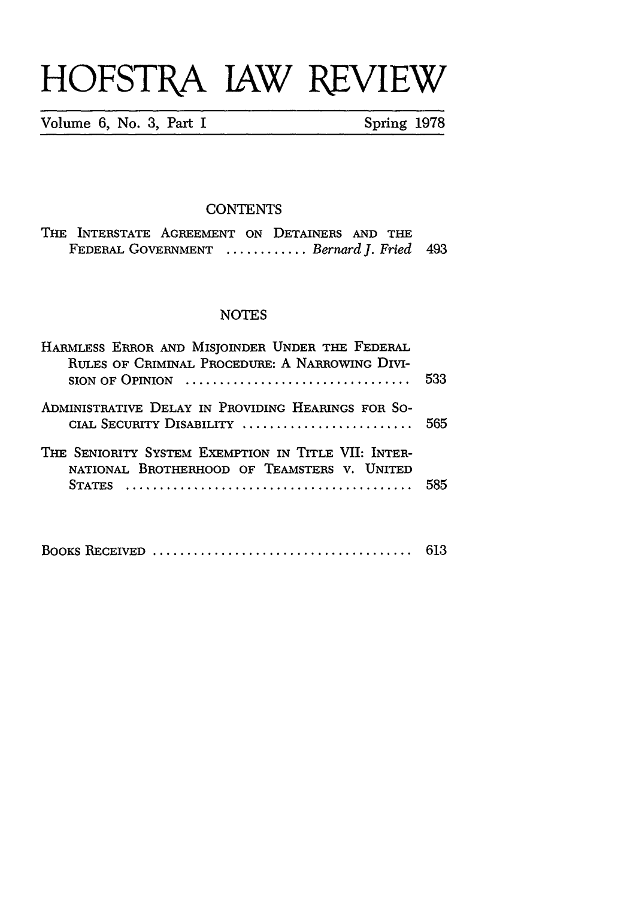## **HOFSTRA** JAW REVIEW

Volume **6,** No. **3,** Part I Spring **1978**

### **CONTENTS**

|                                          |  | THE INTERSTATE AGREEMENT ON DETAINERS AND THE |  |  |  |  |  |
|------------------------------------------|--|-----------------------------------------------|--|--|--|--|--|
| FEDERAL GOVERNMENT  Bernard J. Fried 493 |  |                                               |  |  |  |  |  |

#### **NOTES**

| HARMLESS ERROR AND MISJOINDER UNDER THE FEDERAL<br>RULES OF CRIMINAL PROCEDURE: A NARROWING DIVI-<br>$SION OF OPINION$ | 533  |
|------------------------------------------------------------------------------------------------------------------------|------|
| ADMINISTRATIVE DELAY IN PROVIDING HEARINGS FOR SO-<br>CIAL SECURITY DISABILITY  565                                    |      |
| THE SENIORITY SYSTEM EXEMPTION IN TITLE VII: INTER-<br>NATIONAL BROTHERHOOD OF TEAMSTERS V. UNITED                     | -585 |

|  |  | 613 |
|--|--|-----|
|--|--|-----|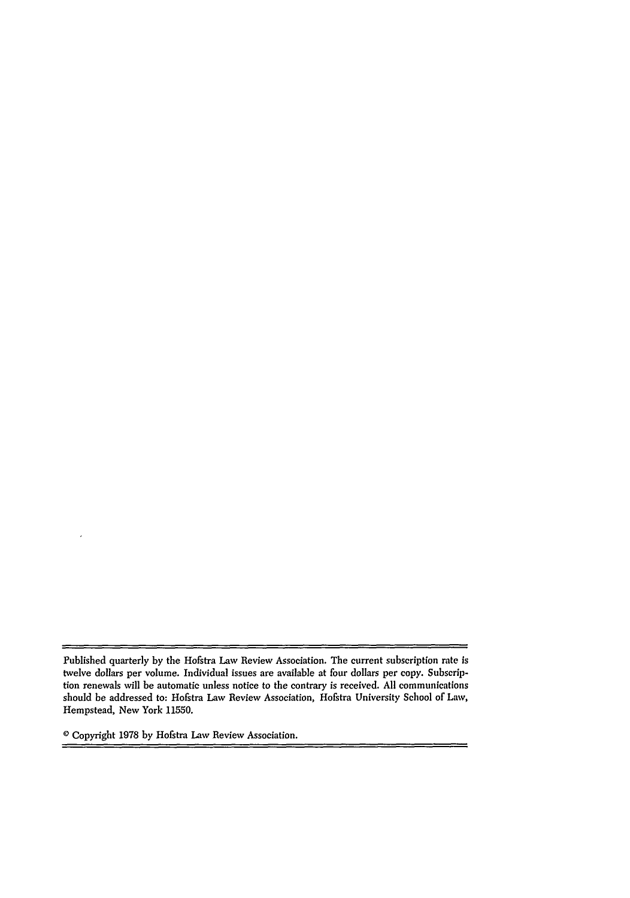$=$ 

**0** Copyright 1978 by Hofstra Law Review Association.

 $\overline{a}$ 

Published quarterly by the Hofstra Law Review Association. The current subscription rate *is* twelve dollars per volume. Individual issues are available at four dollars per copy. Subscription renewals will be automatic unless notice to the contrary is received. All communications should be addressed to: Hofstra Law Review Association, Hofstra University School of Law, Hempstead, New York 11550.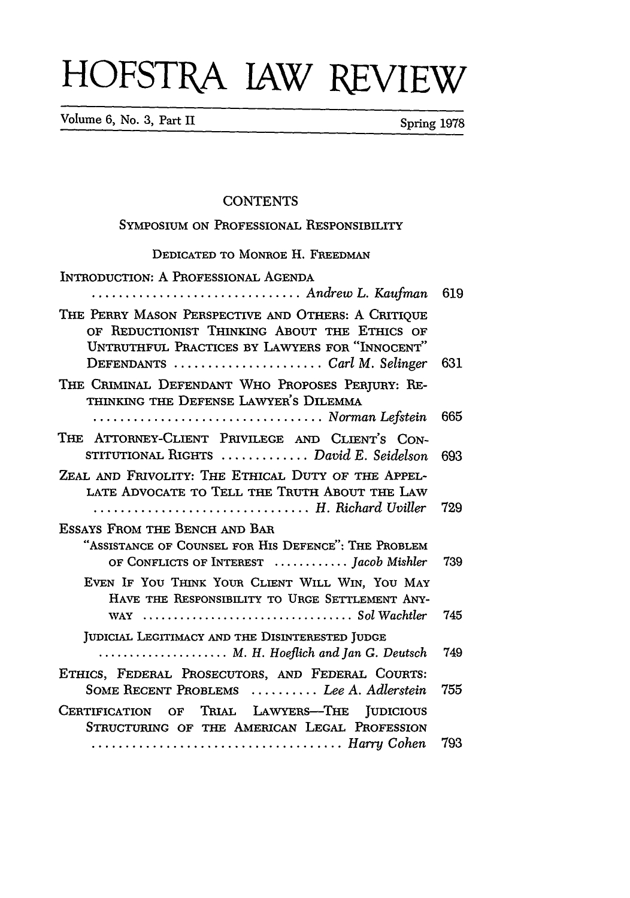# HOFSTRA JAW **REVIEW**

Volume 6, No. 3, Part II Spring 1978

#### **CONTENTS**

| SYMPOSIUM ON PROFESSIONAL RESPONSIBILITY                                                                                                                                                                                  |     |
|---------------------------------------------------------------------------------------------------------------------------------------------------------------------------------------------------------------------------|-----|
| DEDICATED TO MONROE H. FREEDMAN                                                                                                                                                                                           |     |
| INTRODUCTION: A PROFESSIONAL AGENDA<br>Andrew L. Kaufman                                                                                                                                                                  | 619 |
| THE PERRY MASON PERSPECTIVE AND OTHERS: A CRITIQUE<br>OF REDUCTIONIST THINKING ABOUT THE ETHICS OF<br>UNTRUTHFUL PRACTICES BY LAWYERS FOR "INNOCENT"<br>DEFENDANTS $\dots\dots\dots\dots\dots\dots\dots$ Carl M. Selinger | 631 |
| THE CRIMINAL DEFENDANT WHO PROPOSES PERJURY: RE-<br>THINKING THE DEFENSE LAWYER'S DILEMMA<br>Norman Lefstein                                                                                                              | 665 |
| THE ATTORNEY-CLIENT PRIVILEGE AND CLIENT'S CON-<br>STITUTIONAL RIGHTS  David E. Seidelson                                                                                                                                 | 693 |
| ZEAL AND FRIVOLITY: THE ETHICAL DUTY OF THE APPEL-<br>LATE ADVOCATE TO TELL THE TRUTH ABOUT THE LAW<br>H. Richard Uviller                                                                                                 | 729 |
| ESSAYS FROM THE BENCH AND BAR<br>"ASSISTANCE OF COUNSEL FOR HIS DEFENCE": THE PROBLEM<br>OF CONFLICTS OF INTEREST  Jacob Mishler                                                                                          | 739 |
| EVEN IF YOU THINK YOUR CLIENT WILL WIN, YOU MAY<br>HAVE THE RESPONSIBILITY TO URGE SETTLEMENT ANY-                                                                                                                        | 745 |
| JUDICIAL LEGITIMACY AND THE DISINTERESTED JUDGE<br>$\ldots$ M. H. Hoeflich and Jan G. Deutsch                                                                                                                             | 749 |
| ETHICS, FEDERAL PROSECUTORS, AND FEDERAL COURTS:<br>SOME RECENT PROBLEMS  Lee A. Adlerstein                                                                                                                               | 755 |
| OF TRIAL LAWYERS-THE<br><b>JUDICIOUS</b><br><b>CERTIFICATION</b><br>STRUCTURING OF THE AMERICAN LEGAL PROFESSION<br>Harry Cohen                                                                                           | 793 |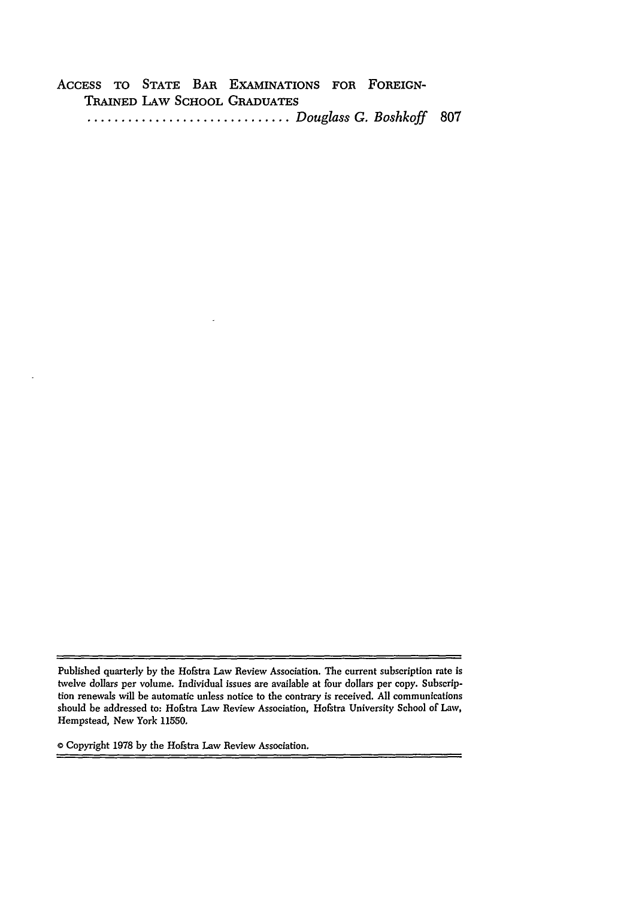ACCESS TO **STATE** BAR EXAMINATIONS FOR FOREIGN-TRAINED LAW **SCHOOL GRADUATES ..............................** *Douglass G. Boshkoff* **807**

 $\equiv$ 

**0** Copyright **1978 by** the Hofstra Law Review Association.

Published quarterly **by** the Hofstra Law Review Association. The current subscription rate is twelve dollars per volume. Individual issues are available at four dollars per copy. Subscription renewals will be automatic unless notice to the contrary is received. **All** communications should be addressed to: Hofstra Law Review Association, Hofstra University School of Law, Hempstead, New York **11550.**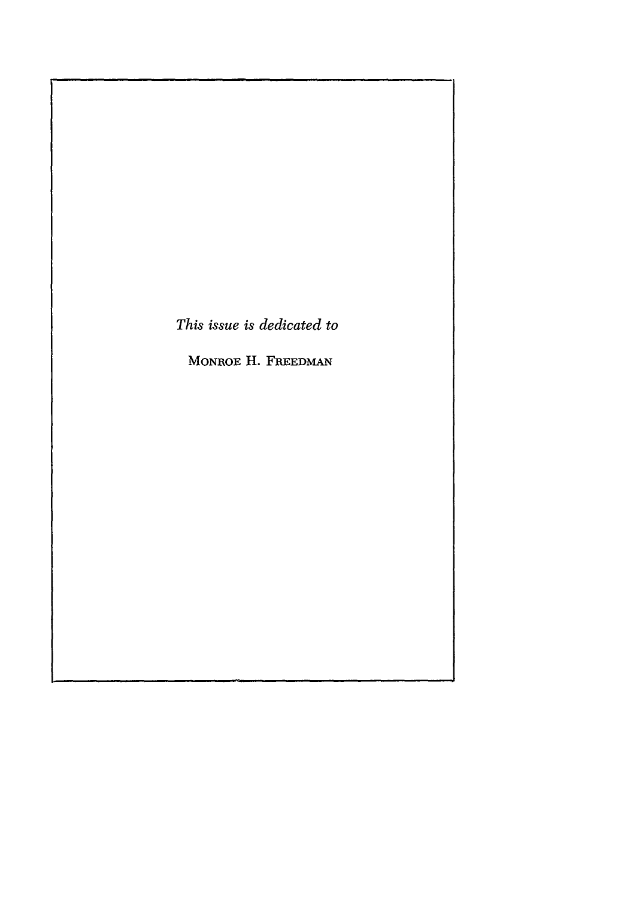*This issue is dedicated to*

MONROE H. FREEDMAN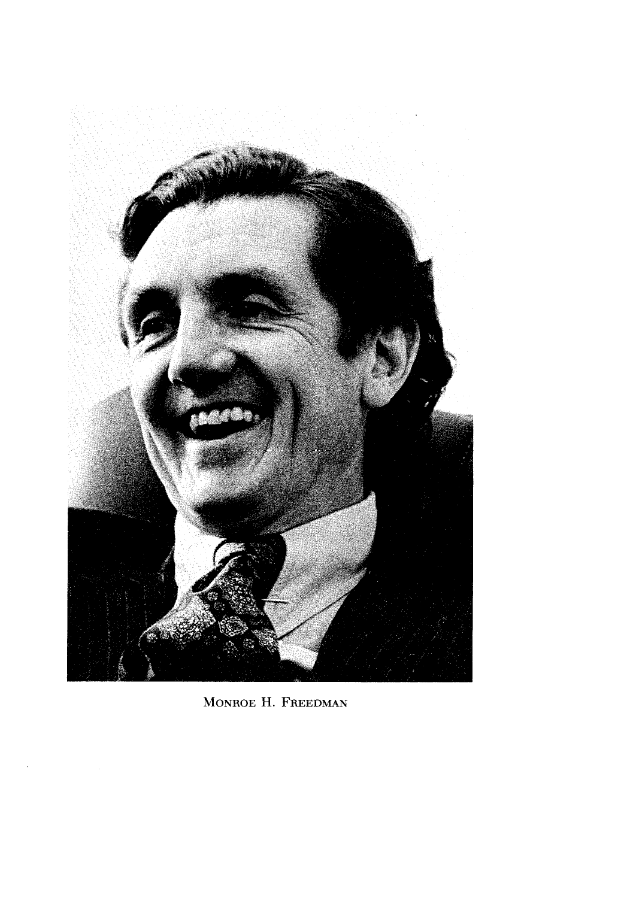

MONROE H. FREEDMAN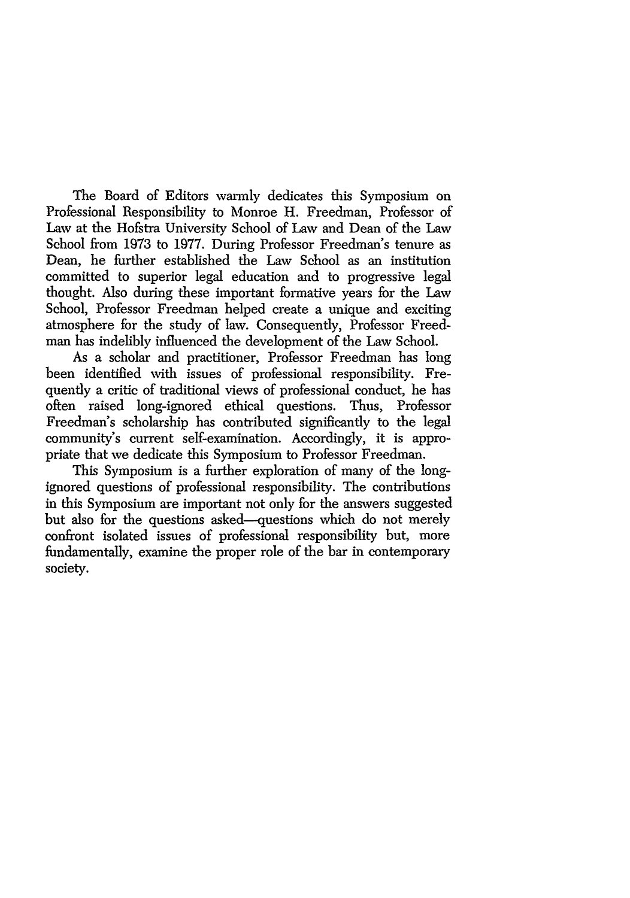The Board of Editors warmly dedicates this Symposium on Professional Responsibility to Monroe H. Freedman, Professor of Law at the Hofstra University School of Law and Dean of the Law School from 1973 to 1977. During Professor Freedman's tenure as Dean, he further established the Law School as an institution committed to superior legal education and to progressive legal thought. Also during these important formative years for the Law School, Professor Freedman helped create a unique and exciting atmosphere for the study of law. Consequently, Professor Freedman has indelibly influenced the development of the Law School.

As a scholar and practitioner, Professor Freedman has long been identified with issues of professional responsibility. Frequently a critic of traditional views of professional conduct, he has often raised long-ignored ethical questions. Thus, Professor Freedman's scholarship has contributed significantly to the legal community's current self-examination. Accordingly, it is appropriate that we dedicate this Symposium to Professor Freedman.

This Symposium is a further exploration of many of the longignored questions of professional responsibility. The contributions in this Symposium are important not only for the answers suggested but also for the questions asked--questions which do not merely confront isolated issues of professional responsibility but, more fundamentally, examine the proper role of the bar in contemporary society.